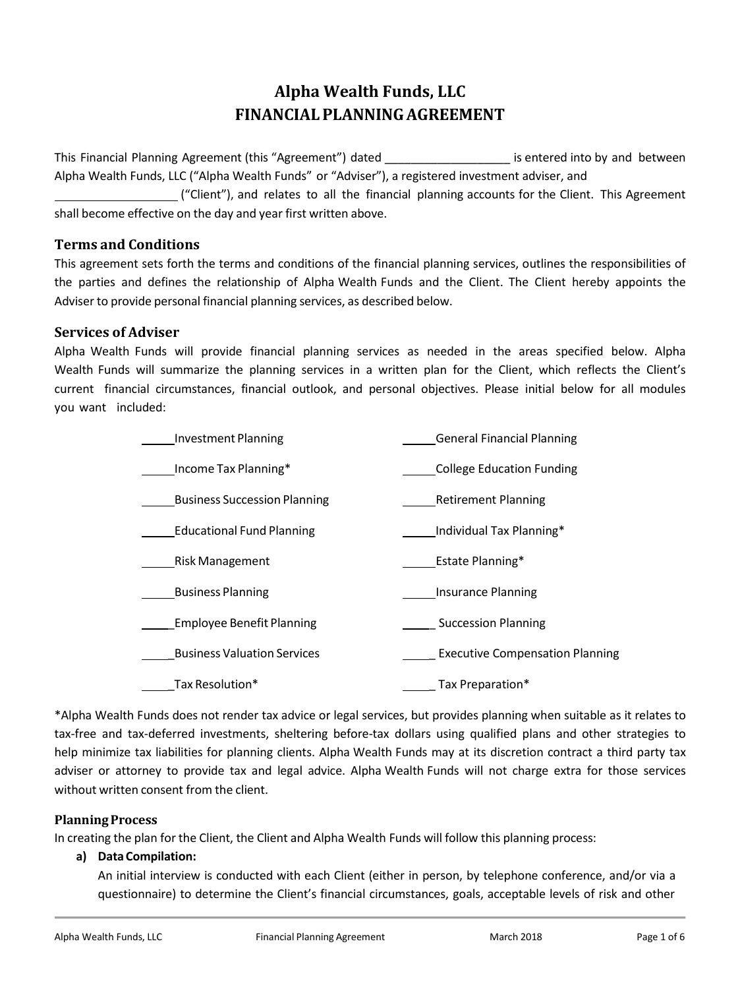# **Alpha Wealth Funds, LLC FINANCIALPLANNINGAGREEMENT**

This Financial Planning Agreement (this "Agreement") dated entermination is entered into by and between Alpha Wealth Funds, LLC ("Alpha Wealth Funds" or "Adviser"), a registered investment adviser, and

("Client"), and relates to all the financial planning accounts for the Client. This Agreement shall become effective on the day and year first written above.

# **Terms and Conditions**

This agreement sets forth the terms and conditions of the financial planning services, outlines the responsibilities of the parties and defines the relationship of Alpha Wealth Funds and the Client. The Client hereby appoints the Adviser to provide personal financial planning services, as described below.

# **Services of Adviser**

Alpha Wealth Funds will provide financial planning services as needed in the areas specified below. Alpha Wealth Funds will summarize the planning services in a written plan for the Client, which reflects the Client's current financial circumstances, financial outlook, and personal objectives. Please initial below for all modules you want included:

| <b>Investment Planning</b>          | <b>General Financial Planning</b>      |
|-------------------------------------|----------------------------------------|
| Income Tax Planning*                | <b>College Education Funding</b>       |
| <b>Business Succession Planning</b> | <b>Retirement Planning</b>             |
| <b>Educational Fund Planning</b>    | Individual Tax Planning*               |
| <b>Risk Management</b>              | Estate Planning*                       |
| <b>Business Planning</b>            | <b>Insurance Planning</b>              |
| <b>Employee Benefit Planning</b>    | <b>Succession Planning</b>             |
| <b>Business Valuation Services</b>  | <b>Executive Compensation Planning</b> |
| Tax Resolution*                     | Tax Preparation*                       |

\*Alpha Wealth Funds does not render tax advice or legal services, but provides planning when suitable as it relates to tax-free and tax-deferred investments, sheltering before-tax dollars using qualified plans and other strategies to help minimize tax liabilities for planning clients. Alpha Wealth Funds may at its discretion contract a third party tax adviser or attorney to provide tax and legal advice. Alpha Wealth Funds will not charge extra for those services without written consent from the client.

#### **PlanningProcess**

In creating the plan for the Client, the Client and Alpha Wealth Funds will follow this planning process:

#### **a) Data Compilation:**

An initial interview is conducted with each Client (either in person, by telephone conference, and/or via a questionnaire) to determine the Client's financial circumstances, goals, acceptable levels of risk and other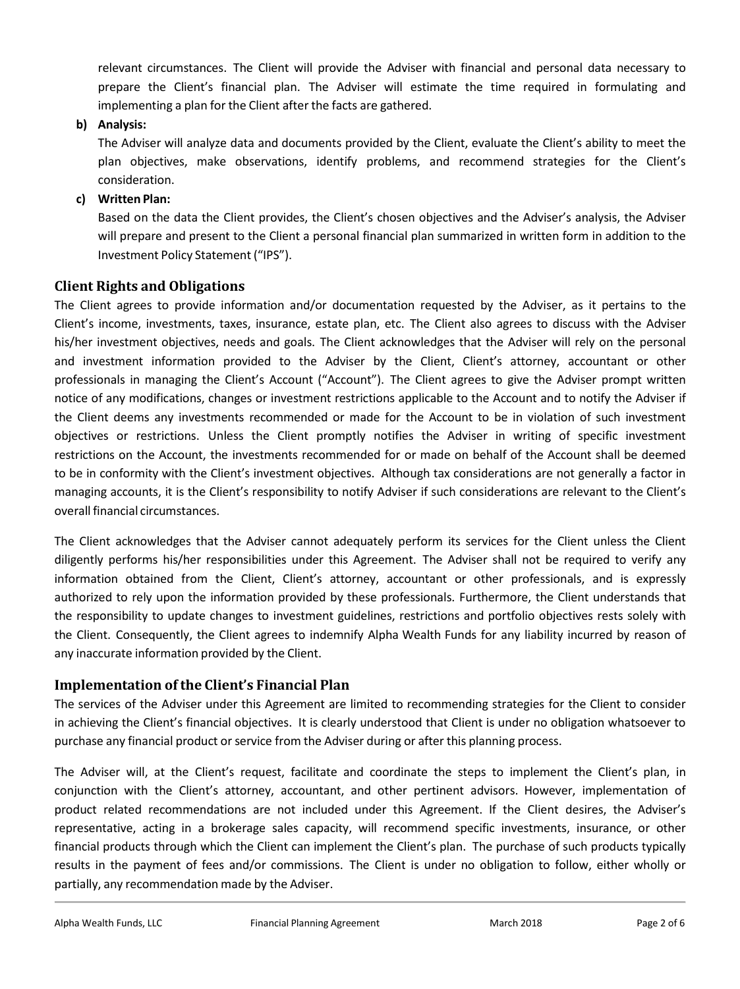relevant circumstances. The Client will provide the Adviser with financial and personal data necessary to prepare the Client's financial plan. The Adviser will estimate the time required in formulating and implementing a plan for the Client after the facts are gathered.

**b) Analysis:**

The Adviser will analyze data and documents provided by the Client, evaluate the Client's ability to meet the plan objectives, make observations, identify problems, and recommend strategies for the Client's consideration.

**c) Written Plan:**

Based on the data the Client provides, the Client's chosen objectives and the Adviser's analysis, the Adviser will prepare and present to the Client a personal financial plan summarized in written form in addition to the Investment Policy Statement ("IPS").

### **Client Rights and Obligations**

The Client agrees to provide information and/or documentation requested by the Adviser, as it pertains to the Client's income, investments, taxes, insurance, estate plan, etc. The Client also agrees to discuss with the Adviser his/her investment objectives, needs and goals. The Client acknowledges that the Adviser will rely on the personal and investment information provided to the Adviser by the Client, Client's attorney, accountant or other professionals in managing the Client's Account ("Account"). The Client agrees to give the Adviser prompt written notice of any modifications, changes or investment restrictions applicable to the Account and to notify the Adviser if the Client deems any investments recommended or made for the Account to be in violation of such investment objectives or restrictions. Unless the Client promptly notifies the Adviser in writing of specific investment restrictions on the Account, the investments recommended for or made on behalf of the Account shall be deemed to be in conformity with the Client's investment objectives. Although tax considerations are not generally a factor in managing accounts, it is the Client's responsibility to notify Adviser if such considerations are relevant to the Client's overall financial circumstances.

The Client acknowledges that the Adviser cannot adequately perform its services for the Client unless the Client diligently performs his/her responsibilities under this Agreement. The Adviser shall not be required to verify any information obtained from the Client, Client's attorney, accountant or other professionals, and is expressly authorized to rely upon the information provided by these professionals. Furthermore, the Client understands that the responsibility to update changes to investment guidelines, restrictions and portfolio objectives rests solely with the Client. Consequently, the Client agrees to indemnify Alpha Wealth Funds for any liability incurred by reason of any inaccurate information provided by the Client.

# **Implementation of the Client's Financial Plan**

The services of the Adviser under this Agreement are limited to recommending strategies for the Client to consider in achieving the Client's financial objectives. It is clearly understood that Client is under no obligation whatsoever to purchase any financial product or service from the Adviser during or after this planning process.

The Adviser will, at the Client's request, facilitate and coordinate the steps to implement the Client's plan, in conjunction with the Client's attorney, accountant, and other pertinent advisors. However, implementation of product related recommendations are not included under this Agreement. If the Client desires, the Adviser's representative, acting in a brokerage sales capacity, will recommend specific investments, insurance, or other financial products through which the Client can implement the Client's plan. The purchase of such products typically results in the payment of fees and/or commissions. The Client is under no obligation to follow, either wholly or partially, any recommendation made by the Adviser.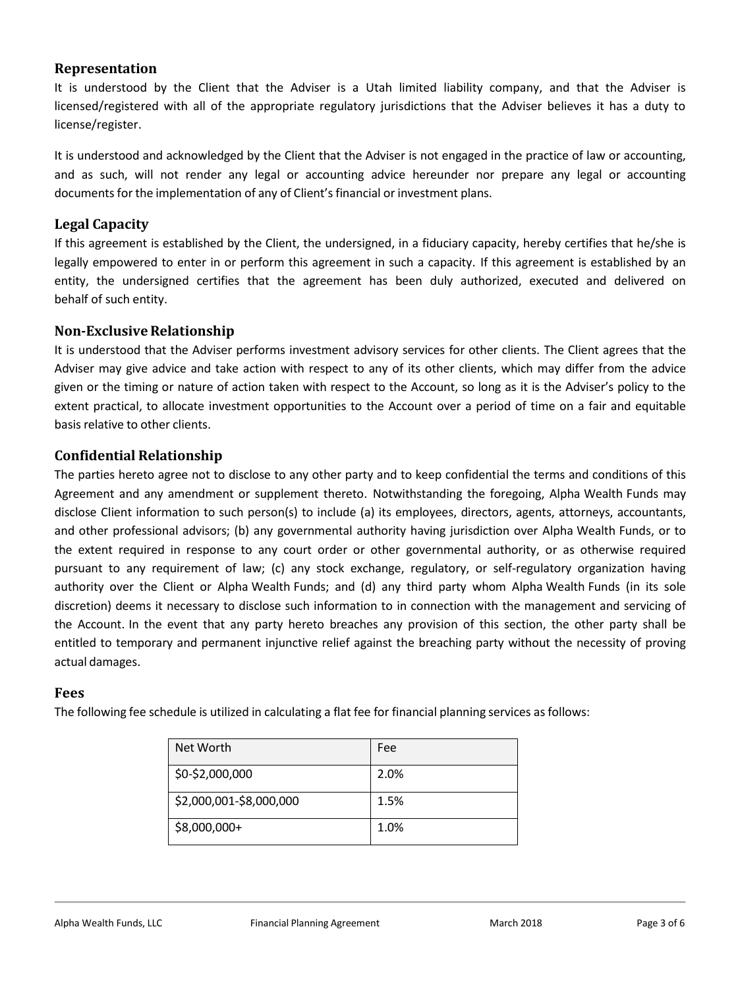# **Representation**

It is understood by the Client that the Adviser is a Utah limited liability company, and that the Adviser is licensed/registered with all of the appropriate regulatory jurisdictions that the Adviser believes it has a duty to license/register.

It is understood and acknowledged by the Client that the Adviser is not engaged in the practice of law or accounting, and as such, will not render any legal or accounting advice hereunder nor prepare any legal or accounting documents for the implementation of any of Client's financial or investment plans.

# **Legal Capacity**

If this agreement is established by the Client, the undersigned, in a fiduciary capacity, hereby certifies that he/she is legally empowered to enter in or perform this agreement in such a capacity. If this agreement is established by an entity, the undersigned certifies that the agreement has been duly authorized, executed and delivered on behalf of such entity.

# **Non-Exclusive Relationship**

It is understood that the Adviser performs investment advisory services for other clients. The Client agrees that the Adviser may give advice and take action with respect to any of its other clients, which may differ from the advice given or the timing or nature of action taken with respect to the Account, so long as it is the Adviser's policy to the extent practical, to allocate investment opportunities to the Account over a period of time on a fair and equitable basis relative to other clients.

# **Confidential Relationship**

The parties hereto agree not to disclose to any other party and to keep confidential the terms and conditions of this Agreement and any amendment or supplement thereto. Notwithstanding the foregoing, Alpha Wealth Funds may disclose Client information to such person(s) to include (a) its employees, directors, agents, attorneys, accountants, and other professional advisors; (b) any governmental authority having jurisdiction over Alpha Wealth Funds, or to the extent required in response to any court order or other governmental authority, or as otherwise required pursuant to any requirement of law; (c) any stock exchange, regulatory, or self-regulatory organization having authority over the Client or Alpha Wealth Funds; and (d) any third party whom Alpha Wealth Funds (in its sole discretion) deems it necessary to disclose such information to in connection with the management and servicing of the Account. In the event that any party hereto breaches any provision of this section, the other party shall be entitled to temporary and permanent injunctive relief against the breaching party without the necessity of proving actual damages.

# **Fees**

The following fee schedule is utilized in calculating a flat fee for financial planning services as follows:

| Net Worth               | Fee  |
|-------------------------|------|
| \$0-\$2,000,000         | 2.0% |
| \$2,000,001-\$8,000,000 | 1.5% |
| \$8,000,000+            | 1.0% |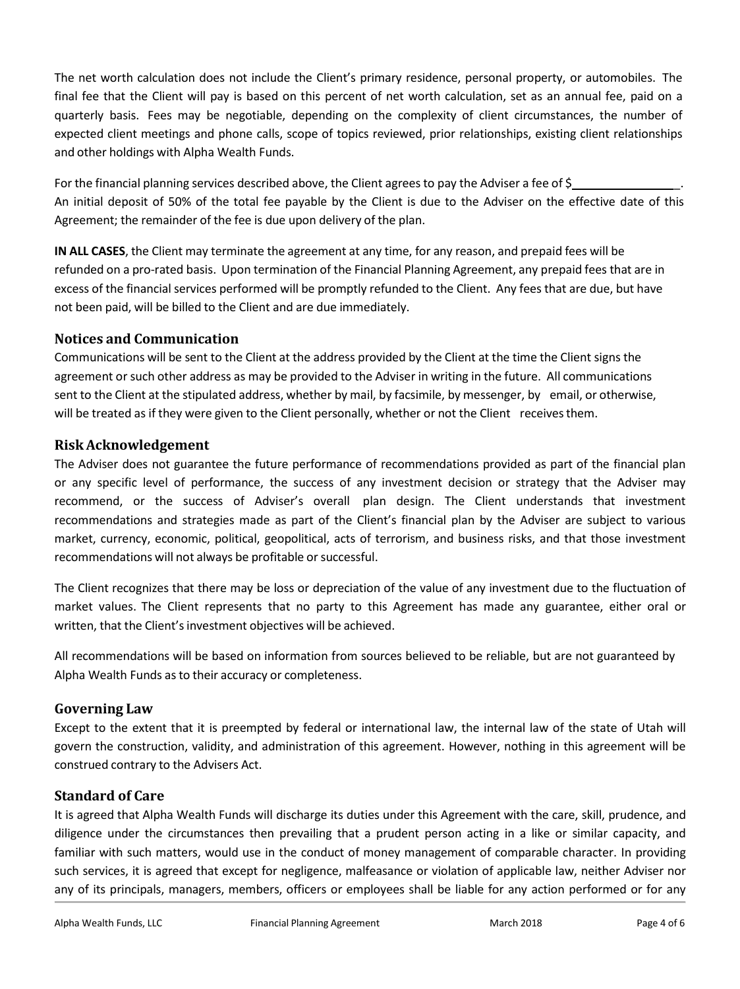The net worth calculation does not include the Client's primary residence, personal property, or automobiles. The final fee that the Client will pay is based on this percent of net worth calculation, set as an annual fee, paid on a quarterly basis. Fees may be negotiable, depending on the complexity of client circumstances, the number of expected client meetings and phone calls, scope of topics reviewed, prior relationships, existing client relationships and other holdings with Alpha Wealth Funds.

For the financial planning services described above, the Client agrees to pay the Adviser a fee of \$\_ An initial deposit of 50% of the total fee payable by the Client is due to the Adviser on the effective date of this Agreement; the remainder of the fee is due upon delivery of the plan.

**IN ALL CASES**, the Client may terminate the agreement at any time, for any reason, and prepaid fees will be refunded on a pro-rated basis. Upon termination of the Financial Planning Agreement, any prepaid fees that are in excess of the financial services performed will be promptly refunded to the Client. Any fees that are due, but have not been paid, will be billed to the Client and are due immediately.

# **Notices and Communication**

Communications will be sent to the Client at the address provided by the Client at the time the Client signs the agreement or such other address as may be provided to the Adviser in writing in the future. All communications sent to the Client at the stipulated address, whether by mail, by facsimile, by messenger, by email, or otherwise, will be treated as if they were given to the Client personally, whether or not the Client receivesthem.

# **RiskAcknowledgement**

The Adviser does not guarantee the future performance of recommendations provided as part of the financial plan or any specific level of performance, the success of any investment decision or strategy that the Adviser may recommend, or the success of Adviser's overall plan design. The Client understands that investment recommendations and strategies made as part of the Client's financial plan by the Adviser are subject to various market, currency, economic, political, geopolitical, acts of terrorism, and business risks, and that those investment recommendations will not always be profitable or successful.

The Client recognizes that there may be loss or depreciation of the value of any investment due to the fluctuation of market values. The Client represents that no party to this Agreement has made any guarantee, either oral or written, that the Client's investment objectives will be achieved.

All recommendations will be based on information from sources believed to be reliable, but are not guaranteed by Alpha Wealth Funds asto their accuracy or completeness.

# **Governing Law**

Except to the extent that it is preempted by federal or international law, the internal law of the state of Utah will govern the construction, validity, and administration of this agreement. However, nothing in this agreement will be construed contrary to the Advisers Act.

# **Standard of Care**

It is agreed that Alpha Wealth Funds will discharge its duties under this Agreement with the care, skill, prudence, and diligence under the circumstances then prevailing that a prudent person acting in a like or similar capacity, and familiar with such matters, would use in the conduct of money management of comparable character. In providing such services, it is agreed that except for negligence, malfeasance or violation of applicable law, neither Adviser nor any of its principals, managers, members, officers or employees shall be liable for any action performed or for any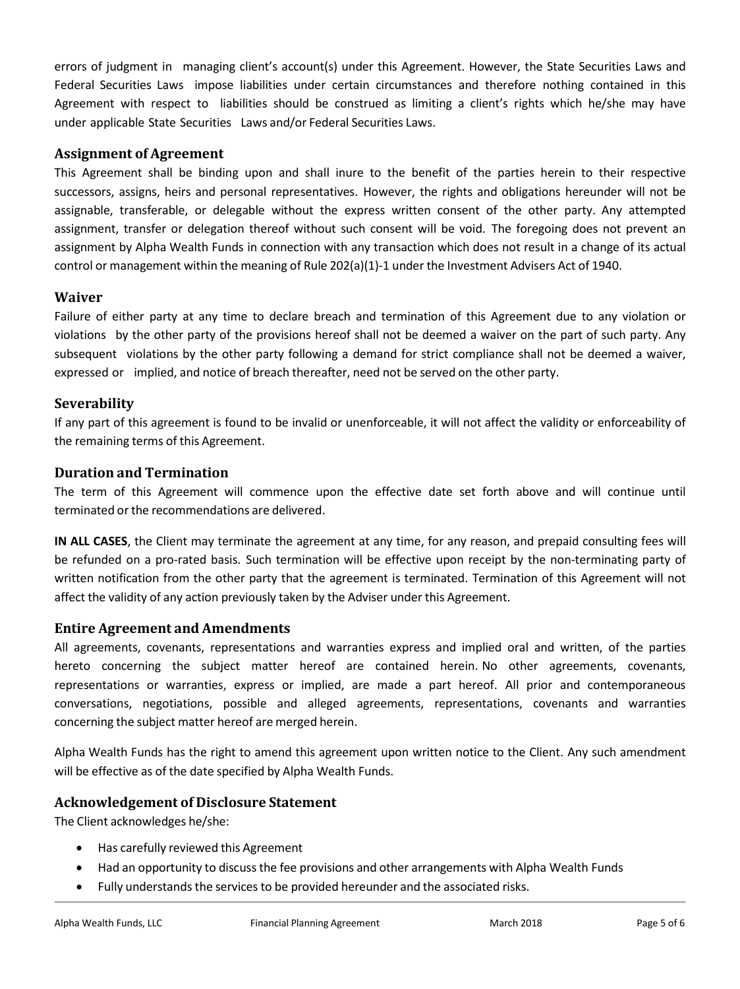errors of judgment in managing client's account(s) under this Agreement. However, the State Securities Laws and Federal Securities Laws impose liabilities under certain circumstances and therefore nothing contained in this Agreement with respect to liabilities should be construed as limiting a client's rights which he/she may have under applicable State Securities Laws and/or Federal Securities Laws.

### **Assignment of Agreement**

This Agreement shall be binding upon and shall inure to the benefit of the parties herein to their respective successors, assigns, heirs and personal representatives. However, the rights and obligations hereunder will not be assignable, transferable, or delegable without the express written consent of the other party. Any attempted assignment, transfer or delegation thereof without such consent will be void. The foregoing does not prevent an assignment by Alpha Wealth Funds in connection with any transaction which does not result in a change of its actual control or management within the meaning of Rule 202(a)(1)-1 under the Investment Advisers Act of 1940.

### **Waiver**

Failure of either party at any time to declare breach and termination of this Agreement due to any violation or violations by the other party of the provisions hereof shall not be deemed a waiver on the part of such party. Any subsequent violations by the other party following a demand for strict compliance shall not be deemed a waiver, expressed or implied, and notice of breach thereafter, need not be served on the other party.

### **Severability**

If any part of this agreement is found to be invalid or unenforceable, it will not affect the validity or enforceability of the remaining terms of this Agreement.

#### **Duration and Termination**

The term of this Agreement will commence upon the effective date set forth above and will continue until terminated or the recommendations are delivered.

**IN ALL CASES**, the Client may terminate the agreement at any time, for any reason, and prepaid consulting fees will be refunded on a pro-rated basis. Such termination will be effective upon receipt by the non-terminating party of written notification from the other party that the agreement is terminated. Termination of this Agreement will not affect the validity of any action previously taken by the Adviser under this Agreement.

# **Entire Agreement and Amendments**

All agreements, covenants, representations and warranties express and implied oral and written, of the parties hereto concerning the subject matter hereof are contained herein. No other agreements, covenants, representations or warranties, express or implied, are made a part hereof. All prior and contemporaneous conversations, negotiations, possible and alleged agreements, representations, covenants and warranties concerning the subject matter hereof are merged herein.

Alpha Wealth Funds has the right to amend this agreement upon written notice to the Client. Any such amendment will be effective as of the date specified by Alpha Wealth Funds.

#### **Acknowledgement of Disclosure Statement**

The Client acknowledges he/she:

- Has carefully reviewed this Agreement
- Had an opportunity to discussthe fee provisions and other arrangements with Alpha Wealth Funds
- Fully understands the services to be provided hereunder and the associated risks.